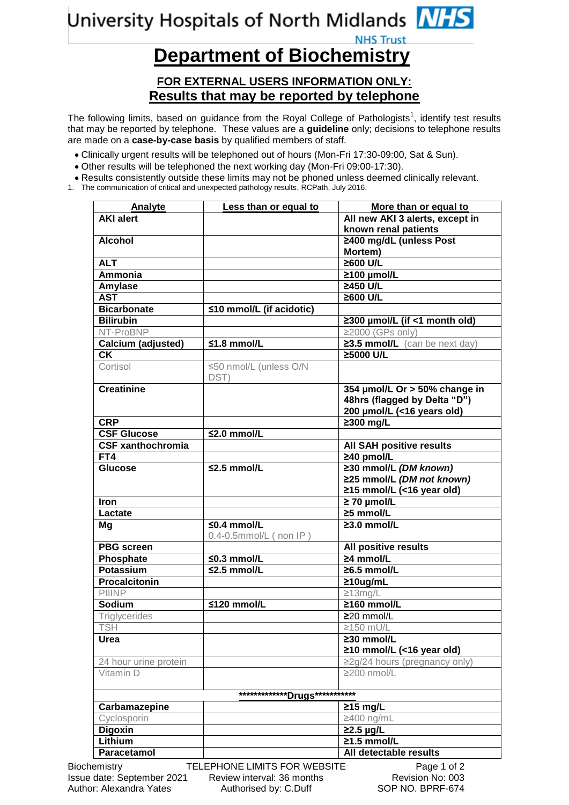## University Hospitals of North Midlands MHS **NHS Trust**

## **Department of Biochemistry**

## **FOR EXTERNAL USERS INFORMATION ONLY: Results that may be reported by telephone**

The following limits, based on guidance from the Royal College of Pathologists<sup>1</sup>, identify test results that may be reported by telephone. These values are a **guideline** only; decisions to telephone results are made on a **case-by-case basis** by qualified members of staff.

- Clinically urgent results will be telephoned out of hours (Mon-Fri 17:30-09:00, Sat & Sun).
- Other results will be telephoned the next working day (Mon-Fri 09:00-17:30).
- Results consistently outside these limits may not be phoned unless deemed clinically relevant.
- 1. The communication of critical and unexpected pathology results, RCPath, July 2016.

| <b>Analyte</b>           | Less than or equal to                      | More than or equal to               |
|--------------------------|--------------------------------------------|-------------------------------------|
| <b>AKI alert</b>         |                                            | All new AKI 3 alerts, except in     |
|                          |                                            | known renal patients                |
| <b>Alcohol</b>           |                                            | ≥400 mg/dL (unless Post<br>Mortem)  |
| <b>ALT</b>               |                                            | $\geq 600$ U/L                      |
| <b>Ammonia</b>           |                                            | ≥100 µmol/L                         |
| Amylase                  |                                            | ≥450 U/L                            |
| <b>AST</b>               |                                            | $\geq 600$ U/L                      |
| <b>Bicarbonate</b>       | $\leq$ 10 mmol/L (if acidotic)             |                                     |
| <b>Bilirubin</b>         |                                            | ≥300 µmol/L (if <1 month old)       |
| NT-ProBNP                |                                            | $\geq$ 2000 (GPs only)              |
| Calcium (adjusted)       | $≤1.8$ mmol/L                              | $23.5$ mmol/L (can be next day)     |
| <b>CK</b>                |                                            | ≥5000 U/L                           |
| Cortisol                 | ≤50 nmol/L (unless O/N<br>DST)             |                                     |
| <b>Creatinine</b>        |                                            | 354 µmol/L Or > 50% change in       |
|                          |                                            | 48hrs (flagged by Delta "D")        |
|                          |                                            | 200 µmol/L (<16 years old)          |
| <b>CRP</b>               |                                            | $\geq 300$ mg/L                     |
| <b>CSF Glucose</b>       | $\leq$ 2.0 mmol/L                          |                                     |
| <b>CSF xanthochromia</b> |                                            | <b>All SAH positive results</b>     |
| FT4                      |                                            | $\geq$ 40 pmol/L                    |
| <b>Glucose</b>           | $\leq$ 2.5 mmol/L                          | ≥30 mmol/L (DM known)               |
|                          |                                            | ≥25 mmol/L (DM not known)           |
|                          |                                            | $\ge$ 15 mmol/L (<16 year old)      |
| <b>Iron</b>              |                                            | $\geq 70$ µmol/L                    |
| Lactate                  |                                            | $\geq$ 5 mmol/L                     |
| Mg                       | $50.4$ mmol/L<br>$0.4$ -0.5mmol/L (non IP) | $\geq$ 3.0 mmol/L                   |
| <b>PBG</b> screen        |                                            | All positive results                |
| Phosphate                | $\leq$ 0.3 mmol/L                          | $\geq$ 4 mmol/L                     |
| <b>Potassium</b>         | $\leq$ 2.5 mmol/L                          | $\geq 6.5$ mmol/L                   |
| <b>Procalcitonin</b>     |                                            | $\geq 10$ ug/mL                     |
| PIIINP                   |                                            | $\geq$ 13mg/L                       |
| <b>Sodium</b>            | $≤120$ mmol/L                              | $\geq$ 160 mmol/L                   |
| <b>Triglycerides</b>     |                                            | ≥20 mmol/L                          |
| <b>TSH</b>               |                                            | $\geq$ 150 mU/L                     |
| Urea                     |                                            | ≥30 mmol/L                          |
|                          |                                            | ≥10 mmol/L (<16 year old)           |
| 24 hour urine protein    |                                            | $\geq$ 2g/24 hours (pregnancy only) |
| Vitamin D                |                                            | ≥200 nmol/L                         |
|                          | **************Drugs***********             |                                     |
| Carbamazepine            |                                            | $\geq$ 15 mg/L                      |
| Cyclosporin              |                                            | ≥400 ng/mL                          |
| <b>Digoxin</b>           |                                            | $\geq$ 2.5 µg/L                     |
|                          |                                            | $\geq$ 1.5 mmol/L                   |
| Lithium<br>Paracetamol   |                                            | All detectable results              |

Author: Alexandra Yates Authorised by: C.Duff SOP NO. BPRF-674